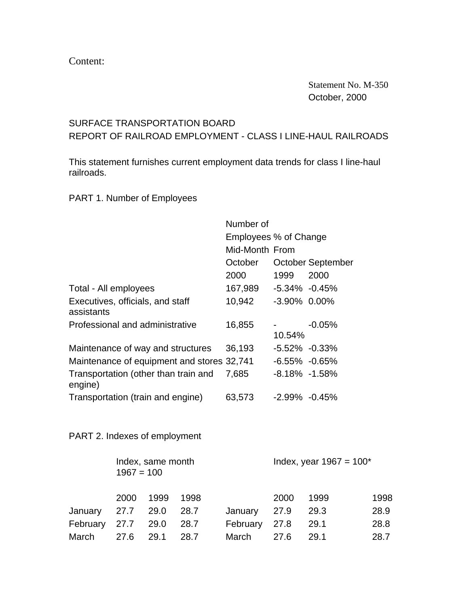Content:

 Statement No. M-350 October, 2000

## SURFACE TRANSPORTATION BOARD REPORT OF RAILROAD EMPLOYMENT - CLASS I LINE-HAUL RAILROADS

This statement furnishes current employment data trends for class I line-haul railroads.

PART 1. Number of Employees

|                                                 | Number of             |                   |                   |  |
|-------------------------------------------------|-----------------------|-------------------|-------------------|--|
|                                                 | Employees % of Change |                   |                   |  |
|                                                 | Mid-Month From        |                   |                   |  |
|                                                 | October               |                   | October September |  |
|                                                 | 2000                  | 1999              | 2000              |  |
| Total - All employees                           | 167,989               | $-5.34\% -0.45\%$ |                   |  |
| Executives, officials, and staff<br>assistants  | 10,942                | $-3.90\%$ 0.00%   |                   |  |
| Professional and administrative                 | 16,855                | 10.54%            | $-0.05%$          |  |
| Maintenance of way and structures               | 36,193                | $-5.52\% -0.33\%$ |                   |  |
| Maintenance of equipment and stores 32,741      |                       | $-6.55\% -0.65\%$ |                   |  |
| Transportation (other than train and<br>engine) | 7,685                 | $-8.18\% -1.58\%$ |                   |  |
| Transportation (train and engine)               | 63,573                | $-2.99\% -0.45\%$ |                   |  |

PART 2. Indexes of employment

|          | Index, same month<br>$1967 = 100$ |      |      |          | Index, year $1967 = 100^*$ |      |      |  |
|----------|-----------------------------------|------|------|----------|----------------------------|------|------|--|
|          | 2000                              | 1999 | 1998 |          | 2000                       | 1999 | 1998 |  |
| January  | 27.7 29.0                         |      | 28.7 | January  | 27.9                       | 29.3 | 28.9 |  |
| February | 27.7 29.0                         |      | 28.7 | February | 27.8                       | 29.1 | 28.8 |  |
| March    | 27.6                              | 29.1 | 28.7 | March    | 27.6                       | 29.1 | 28.7 |  |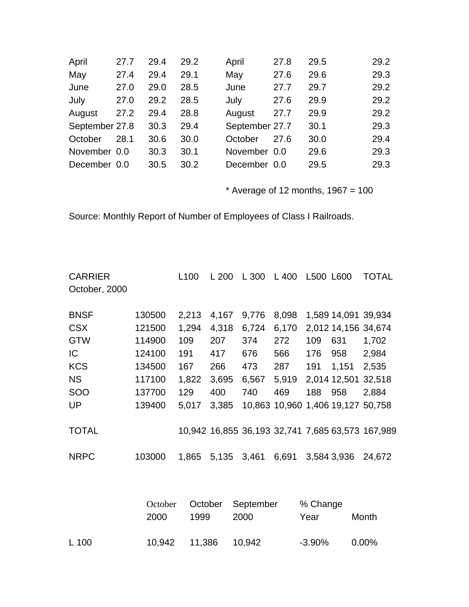| April          | 27.7 | 29.4 | 29.2 | April          | 27.8 | 29.5 | 29.2 |
|----------------|------|------|------|----------------|------|------|------|
| May            | 27.4 | 29.4 | 29.1 | May            | 27.6 | 29.6 | 29.3 |
| June           | 27.0 | 29.0 | 28.5 | June           | 27.7 | 29.7 | 29.2 |
| July           | 27.0 | 29.2 | 28.5 | July           | 27.6 | 29.9 | 29.2 |
| August         | 27.2 | 29.4 | 28.8 | August         | 27.7 | 29.9 | 29.2 |
| September 27.8 |      | 30.3 | 29.4 | September 27.7 |      | 30.1 | 29.3 |
| October        | 28.1 | 30.6 | 30.0 | October        | 27.6 | 30.0 | 29.4 |
| November 0.0   |      | 30.3 | 30.1 | November 0.0   |      | 29.6 | 29.3 |
| December 0.0   |      | 30.5 | 30.2 | December 0.0   |      | 29.5 | 29.3 |

 $*$  Average of 12 months, 1967 = 100

Source: Monthly Report of Number of Employees of Class I Railroads.

| <b>CARRIER</b> |                                             | L <sub>100</sub> | L200  | L 300 | L 400 | L500 L600 |                     | <b>TOTAL</b>                                     |
|----------------|---------------------------------------------|------------------|-------|-------|-------|-----------|---------------------|--------------------------------------------------|
| October, 2000  |                                             |                  |       |       |       |           |                     |                                                  |
| <b>BNSF</b>    | 130500                                      | 2,213            | 4,167 | 9,776 | 8,098 |           | 1,589 14,091 39,934 |                                                  |
| <b>CSX</b>     | 121500                                      | 1,294            | 4,318 | 6,724 | 6,170 |           | 2,012 14,156 34,674 |                                                  |
| <b>GTW</b>     | 114900                                      | 109              | 207   | 374   | 272   | 109       | 631                 | 1,702                                            |
| IC             | 124100                                      | 191              | 417   | 676   | 566   | 176       | 958                 | 2,984                                            |
| <b>KCS</b>     | 134500                                      | 167              | 266   | 473   | 287   | 191       | 1,151               | 2,535                                            |
| <b>NS</b>      | 117100                                      | 1,822            | 3,695 | 6,567 | 5,919 |           |                     | 2,014 12,501 32,518                              |
| SOO            | 137700                                      | 129              | 400   | 740   | 469   | 188       | 958                 | 2,884                                            |
| <b>UP</b>      | 139400                                      | 5,017            | 3,385 |       |       |           |                     | 10,863 10,960 1,406 19,127 50,758                |
| <b>TOTAL</b>   |                                             |                  |       |       |       |           |                     | 10,942 16,855 36,193 32,741 7,685 63,573 167,989 |
| <b>NRPC</b>    | 103000                                      | 1,865            | 5,135 | 3,461 | 6,691 |           | 3,584 3,936         | 24,672                                           |
|                |                                             |                  |       |       |       |           |                     |                                                  |
|                | % Change<br>October<br>September<br>October |                  |       |       |       |           |                     |                                                  |

|       | <b>2000</b> | 1999                   | 2000 | Year   | Month |
|-------|-------------|------------------------|------|--------|-------|
| L 100 |             | 10,942  11,386  10,942 |      | -3.90% | 0.00% |